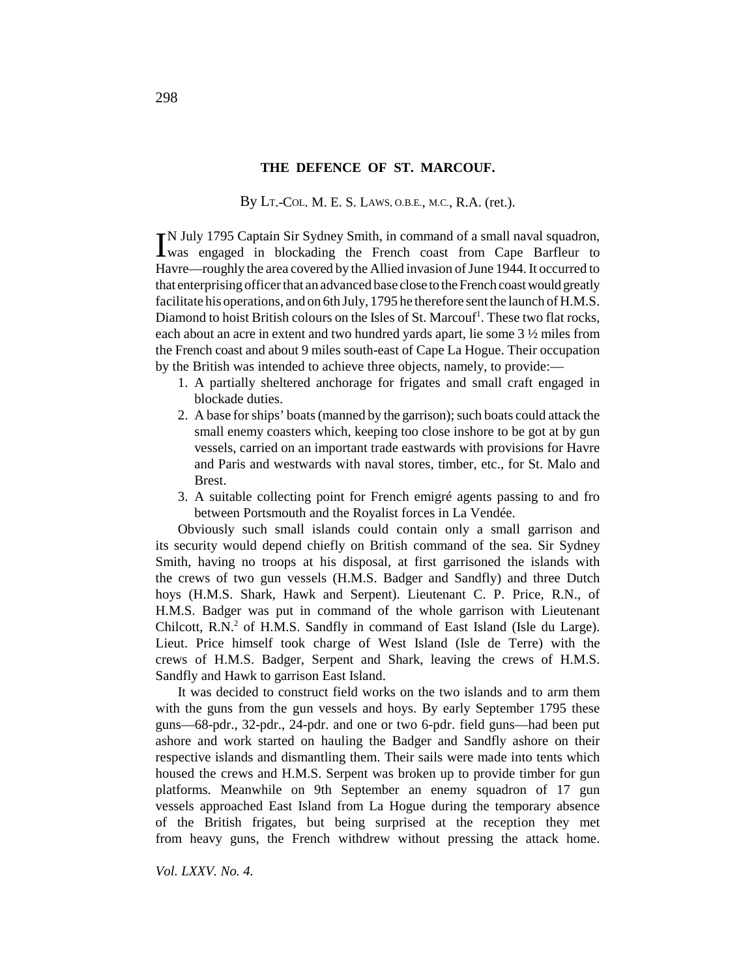### **THE DEFENCE OF ST. MARCOUF.**

By LT.-COL. M. E. S. LAWS, O.B.E., M.C., R.A. (ret.).

IN July 1795 Captain Sir Sydney Smith, in command of a small naval squadron, was engaged in blockading the French coast from Cape Barfleur to was engaged in blockading the French coast from Cape Barfleur to Havre—roughly the area covered by the Allied invasion of June 1944. It occurred to that enterprising officer that an advanced base close to the French coast would greatly facilitate his operations, and on 6th July, 1795 he therefore sent the launch of H.M.S. Diamond to hoist British colours on the Isles of St. Marcouf<sup>1</sup>. These two flat rocks, each about an acre in extent and two hundred yards apart, lie some 3 ½ miles from the French coast and about 9 miles south-east of Cape La Hogue. Their occupation by the British was intended to achieve three objects, namely, to provide:—

- 1. A partially sheltered anchorage for frigates and small craft engaged in blockade duties.
- 2. A base for ships' boats (manned by the garrison); such boats could attack the small enemy coasters which, keeping too close inshore to be got at by gun vessels, carried on an important trade eastwards with provisions for Havre and Paris and westwards with naval stores, timber, etc., for St. Malo and Brest.
- 3. A suitable collecting point for French emigré agents passing to and fro between Portsmouth and the Royalist forces in La Vendée.

Obviously such small islands could contain only a small garrison and its security would depend chiefly on British command of the sea. Sir Sydney Smith, having no troops at his disposal, at first garrisoned the islands with the crews of two gun vessels (H.M.S. Badger and Sandfly) and three Dutch hoys (H.M.S. Shark, Hawk and Serpent). Lieutenant C. P. Price, R.N., of H.M.S. Badger was put in command of the whole garrison with Lieutenant Chilcott, R.N.<sup>2</sup> of H.M.S. Sandfly in command of East Island (Isle du Large). Lieut. Price himself took charge of West Island (Isle de Terre) with the crews of H.M.S. Badger, Serpent and Shark, leaving the crews of H.M.S. Sandfly and Hawk to garrison East Island.

It was decided to construct field works on the two islands and to arm them with the guns from the gun vessels and hoys. By early September 1795 these guns—68-pdr., 32-pdr., 24-pdr. and one or two 6-pdr. field guns—had been put ashore and work started on hauling the Badger and Sandfly ashore on their respective islands and dismantling them. Their sails were made into tents which housed the crews and H.M.S. Serpent was broken up to provide timber for gun platforms. Meanwhile on 9th September an enemy squadron of 17 gun vessels approached East Island from La Hogue during the temporary absence of the British frigates, but being surprised at the reception they met from heavy guns, the French withdrew without pressing the attack home.

*Vol. LXXV. No. 4.*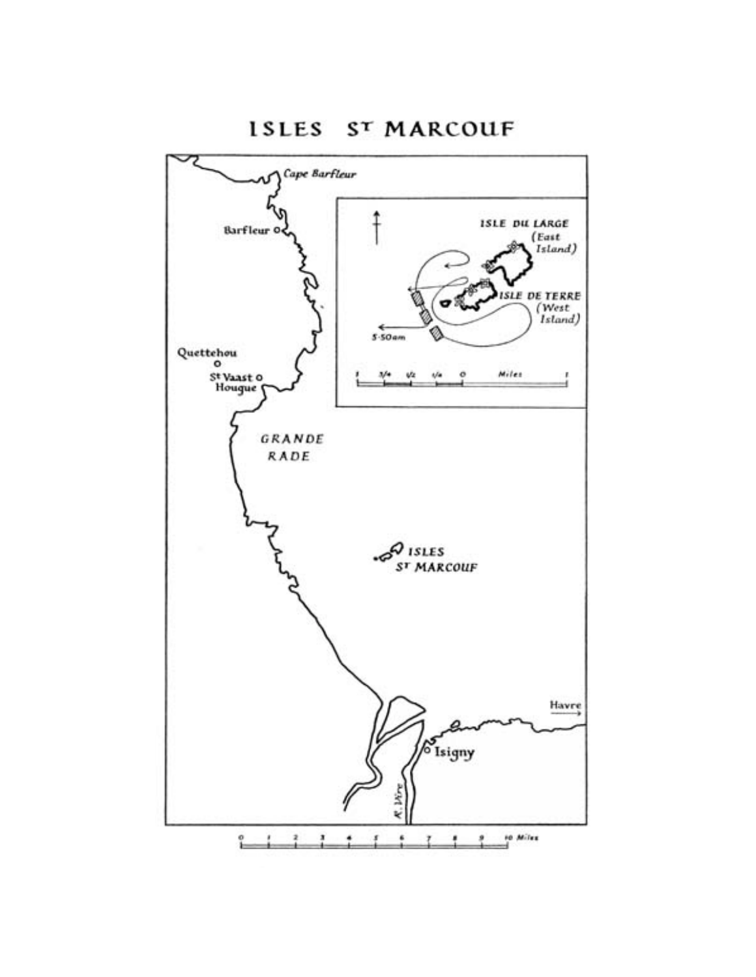ISLES ST MARCOUF

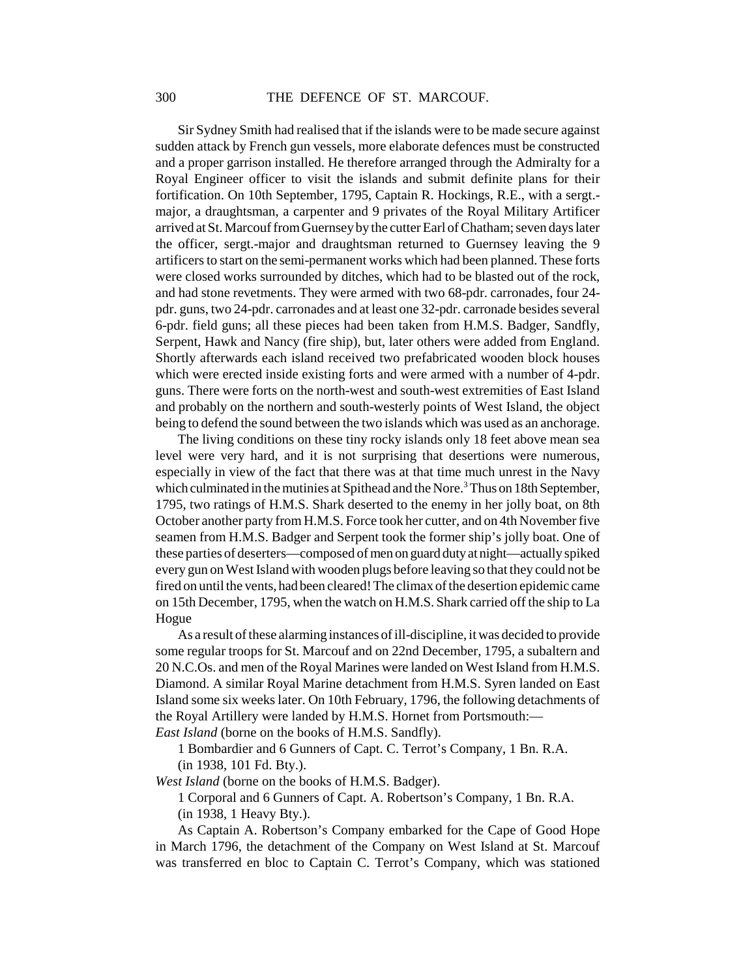Sir Sydney Smith had realised that if the islands were to be made secure against sudden attack by French gun vessels, more elaborate defences must be constructed and a proper garrison installed. He therefore arranged through the Admiralty for a Royal Engineer officer to visit the islands and submit definite plans for their fortification. On 10th September, 1795, Captain R. Hockings, R.E., with a sergt. major, a draughtsman, a carpenter and 9 privates of the Royal Military Artificer arrived at St. Marcouf from Guernsey by the cutter Earl of Chatham; seven days later the officer, sergt.-major and draughtsman returned to Guernsey leaving the 9 artificers to start on the semi-permanent works which had been planned. These forts were closed works surrounded by ditches, which had to be blasted out of the rock, and had stone revetments. They were armed with two 68-pdr. carronades, four 24 pdr. guns, two 24-pdr. carronades and at least one 32-pdr. carronade besides several 6-pdr. field guns; all these pieces had been taken from H.M.S. Badger, Sandfly, Serpent, Hawk and Nancy (fire ship), but, later others were added from England. Shortly afterwards each island received two prefabricated wooden block houses which were erected inside existing forts and were armed with a number of 4-pdr. guns. There were forts on the north-west and south-west extremities of East Island and probably on the northern and south-westerly points of West Island, the object being to defend the sound between the two islands which was used as an anchorage.

The living conditions on these tiny rocky islands only 18 feet above mean sea level were very hard, and it is not surprising that desertions were numerous, especially in view of the fact that there was at that time much unrest in the Navy which culminated in the mutinies at Spithead and the Nore.<sup>3</sup> Thus on 18th September, 1795, two ratings of H.M.S. Shark deserted to the enemy in her jolly boat, on 8th October another party from H.M.S. Force took her cutter, and on 4th November five seamen from H.M.S. Badger and Serpent took the former ship's jolly boat. One of these parties of deserters—composed of men on guard duty at night—actually spiked every gun on West Island with wooden plugs before leaving so that they could not be fired on until the vents, had been cleared! The climax of the desertion epidemic came on 15th December, 1795, when the watch on H.M.S. Shark carried off the ship to La Hogue

As a result of these alarming instances of ill-discipline, it was decided to provide some regular troops for St. Marcouf and on 22nd December, 1795, a subaltern and 20 N.C.Os. and men of the Royal Marines were landed on West Island from H.M.S. Diamond. A similar Royal Marine detachment from H.M.S. Syren landed on East Island some six weeks later. On 10th February, 1796, the following detachments of the Royal Artillery were landed by H.M.S. Hornet from Portsmouth:—

*East Island* (borne on the books of H.M.S. Sandfly).

1 Bombardier and 6 Gunners of Capt. C. Terrot's Company, 1 Bn. R.A. (in 1938, 101 Fd. Bty.).

*West Island* (borne on the books of H.M.S. Badger).

1 Corporal and 6 Gunners of Capt. A. Robertson's Company, 1 Bn. R.A.

(in 1938, 1 Heavy Bty.).

As Captain A. Robertson's Company embarked for the Cape of Good Hope in March 1796, the detachment of the Company on West Island at St. Marcouf was transferred en bloc to Captain C. Terrot's Company, which was stationed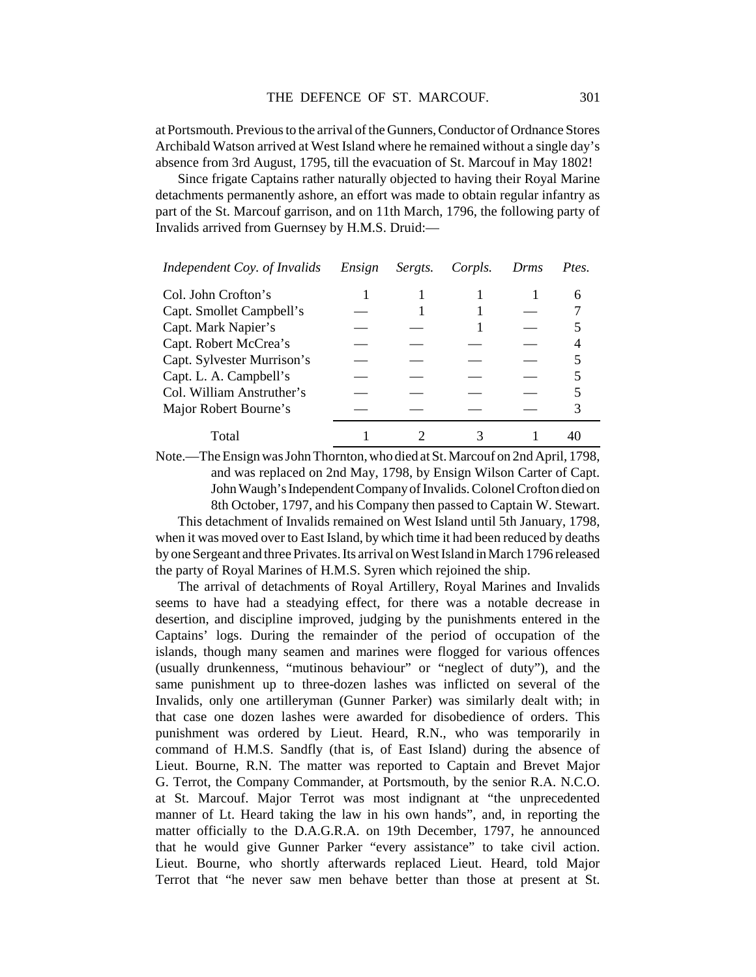at Portsmouth. Previous to the arrival of the Gunners, Conductor of Ordnance Stores Archibald Watson arrived at West Island where he remained without a single day's absence from 3rd August, 1795, till the evacuation of St. Marcouf in May 1802!

Since frigate Captains rather naturally objected to having their Royal Marine detachments permanently ashore, an effort was made to obtain regular infantry as part of the St. Marcouf garrison, and on 11th March, 1796, the following party of Invalids arrived from Guernsey by H.M.S. Druid:—

| Independent Coy. of Invalids | Ensign | Sergts. | Corpls. | Drms | Ptes. |
|------------------------------|--------|---------|---------|------|-------|
| Col. John Crofton's          |        |         |         |      | 6     |
| Capt. Smollet Campbell's     |        |         |         |      |       |
| Capt. Mark Napier's          |        |         |         |      |       |
| Capt. Robert McCrea's        |        |         |         |      |       |
| Capt. Sylvester Murrison's   |        |         |         |      |       |
| Capt. L. A. Campbell's       |        |         |         |      |       |
| Col. William Anstruther's    |        |         |         |      |       |
| Major Robert Bourne's        |        |         |         |      |       |
| Total                        |        |         |         |      |       |

Note.—The Ensign was John Thornton, who died at St. Marcouf on 2nd April, 1798, and was replaced on 2nd May, 1798, by Ensign Wilson Carter of Capt. John Waugh's Independent Company of Invalids. Colonel Crofton died on 8th October, 1797, and his Company then passed to Captain W. Stewart.

This detachment of Invalids remained on West Island until 5th January, 1798, when it was moved over to East Island, by which time it had been reduced by deaths by one Sergeant and three Privates. Its arrival on West Island in March 1796 released the party of Royal Marines of H.M.S. Syren which rejoined the ship.

The arrival of detachments of Royal Artillery, Royal Marines and Invalids seems to have had a steadying effect, for there was a notable decrease in desertion, and discipline improved, judging by the punishments entered in the Captains' logs. During the remainder of the period of occupation of the islands, though many seamen and marines were flogged for various offences (usually drunkenness, "mutinous behaviour" or "neglect of duty"), and the same punishment up to three-dozen lashes was inflicted on several of the Invalids, only one artilleryman (Gunner Parker) was similarly dealt with; in that case one dozen lashes were awarded for disobedience of orders. This punishment was ordered by Lieut. Heard, R.N., who was temporarily in command of H.M.S. Sandfly (that is, of East Island) during the absence of Lieut. Bourne, R.N. The matter was reported to Captain and Brevet Major G. Terrot, the Company Commander, at Portsmouth, by the senior R.A. N.C.O. at St. Marcouf. Major Terrot was most indignant at "the unprecedented manner of Lt. Heard taking the law in his own hands", and, in reporting the matter officially to the D.A.G.R.A. on 19th December, 1797, he announced that he would give Gunner Parker "every assistance" to take civil action. Lieut. Bourne, who shortly afterwards replaced Lieut. Heard, told Major Terrot that "he never saw men behave better than those at present at St.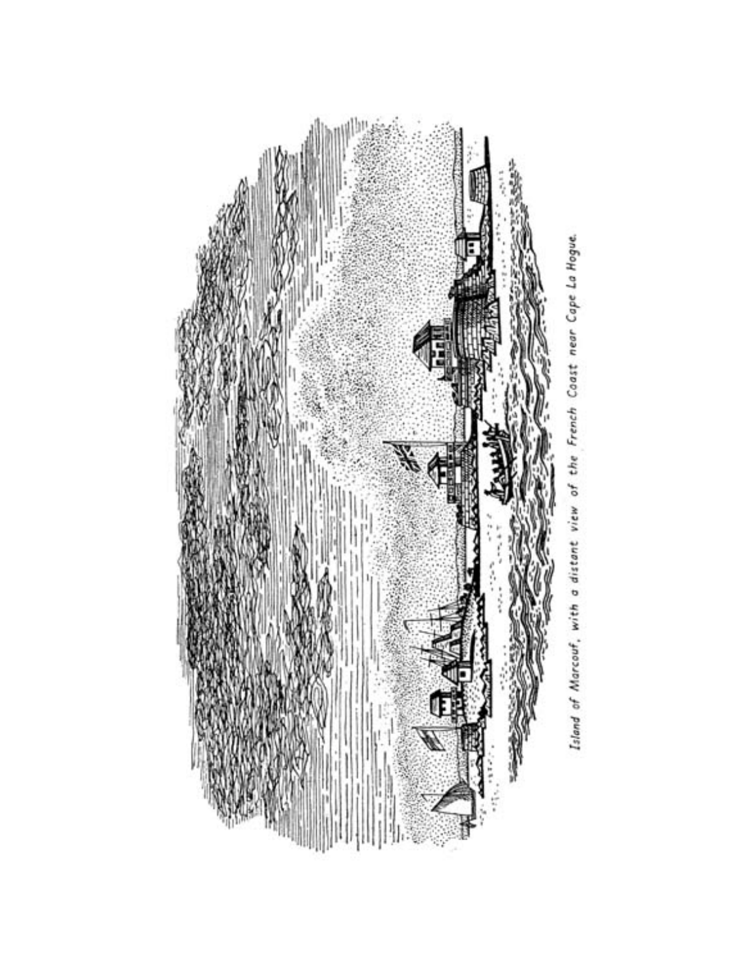

Island of Marcouf, with a distant view of the French Coast near Cape La Hogue.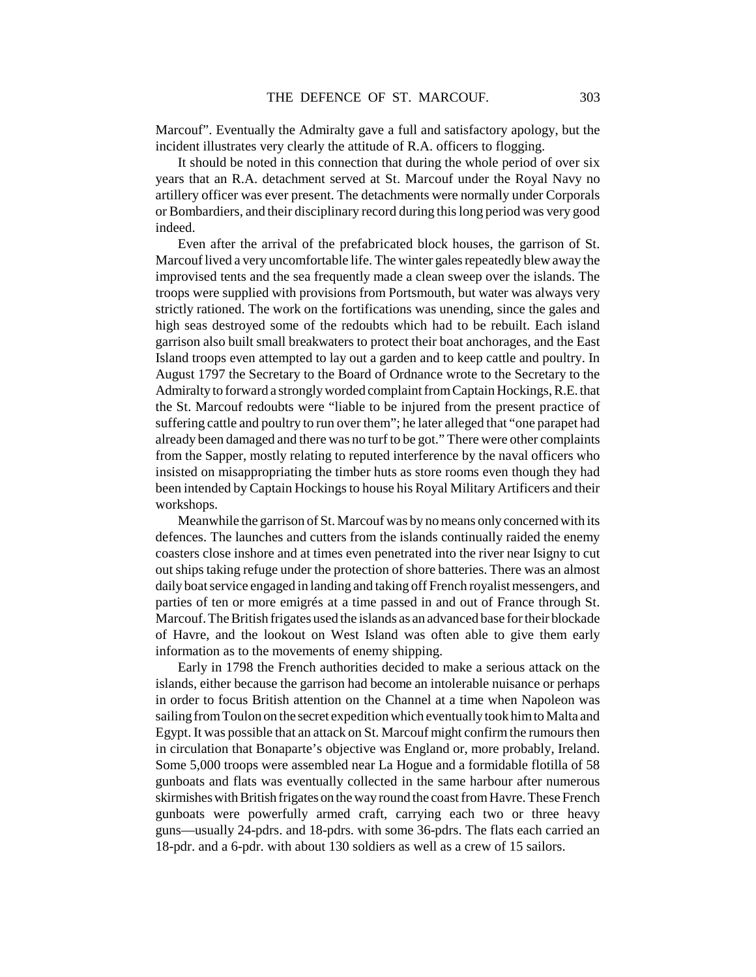Marcouf". Eventually the Admiralty gave a full and satisfactory apology, but the incident illustrates very clearly the attitude of R.A. officers to flogging.

It should be noted in this connection that during the whole period of over six years that an R.A. detachment served at St. Marcouf under the Royal Navy no artillery officer was ever present. The detachments were normally under Corporals or Bombardiers, and their disciplinary record during this long period was very good indeed.

Even after the arrival of the prefabricated block houses, the garrison of St. Marcouf lived a very uncomfortable life. The winter gales repeatedly blew away the improvised tents and the sea frequently made a clean sweep over the islands. The troops were supplied with provisions from Portsmouth, but water was always very strictly rationed. The work on the fortifications was unending, since the gales and high seas destroyed some of the redoubts which had to be rebuilt. Each island garrison also built small breakwaters to protect their boat anchorages, and the East Island troops even attempted to lay out a garden and to keep cattle and poultry. In August 1797 the Secretary to the Board of Ordnance wrote to the Secretary to the Admiralty to forward a strongly worded complaint from Captain Hockings, R.E. that the St. Marcouf redoubts were "liable to be injured from the present practice of suffering cattle and poultry to run over them"; he later alleged that "one parapet had already been damaged and there was no turf to be got." There were other complaints from the Sapper, mostly relating to reputed interference by the naval officers who insisted on misappropriating the timber huts as store rooms even though they had been intended by Captain Hockings to house his Royal Military Artificers and their workshops.

Meanwhile the garrison of St. Marcouf was by no means only concerned with its defences. The launches and cutters from the islands continually raided the enemy coasters close inshore and at times even penetrated into the river near Isigny to cut out ships taking refuge under the protection of shore batteries. There was an almost daily boat service engaged in landing and taking off French royalist messengers, and parties of ten or more emigrés at a time passed in and out of France through St. Marcouf. The British frigates used the islands as an advanced base for their blockade of Havre, and the lookout on West Island was often able to give them early information as to the movements of enemy shipping.

Early in 1798 the French authorities decided to make a serious attack on the islands, either because the garrison had become an intolerable nuisance or perhaps in order to focus British attention on the Channel at a time when Napoleon was sailing from Toulon on the secret expedition which eventually took him to Malta and Egypt. It was possible that an attack on St. Marcouf might confirm the rumours then in circulation that Bonaparte's objective was England or, more probably, Ireland. Some 5,000 troops were assembled near La Hogue and a formidable flotilla of 58 gunboats and flats was eventually collected in the same harbour after numerous skirmishes with British frigates on the way round the coast from Havre. These French gunboats were powerfully armed craft, carrying each two or three heavy guns—usually 24-pdrs. and 18-pdrs. with some 36-pdrs. The flats each carried an 18-pdr. and a 6-pdr. with about 130 soldiers as well as a crew of 15 sailors.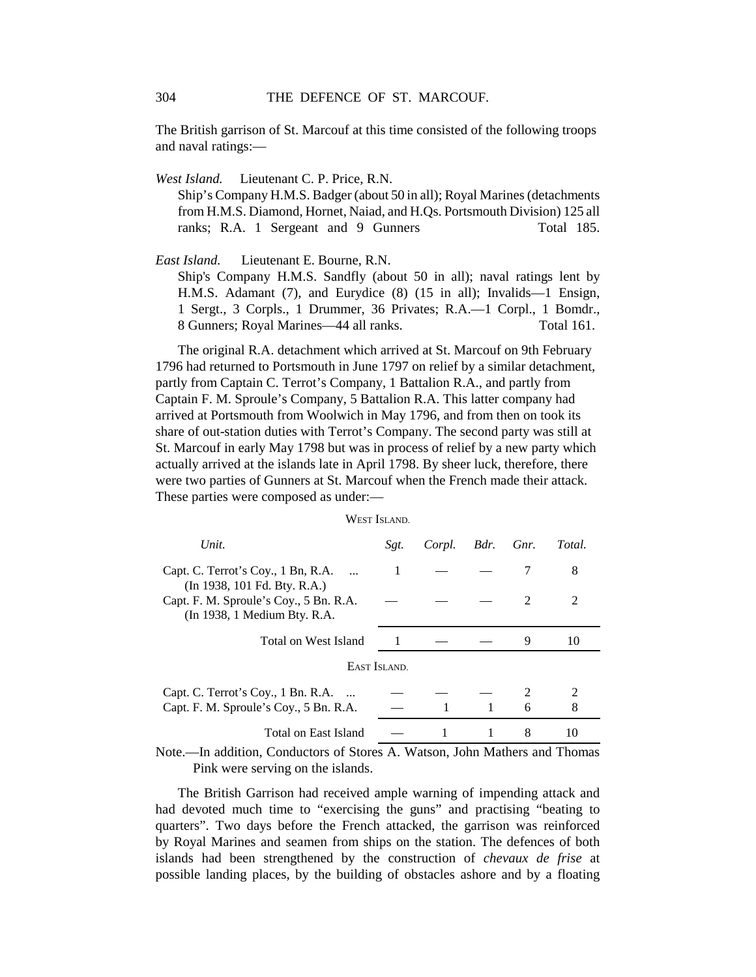The British garrison of St. Marcouf at this time consisted of the following troops and naval ratings:—

*West Island.* Lieutenant C. P. Price, R.N.

Ship's Company H.M.S. Badger (about 50 in all); Royal Marines (detachments from H.M.S. Diamond, Hornet, Naiad, and H.Qs. Portsmouth Division) 125 all ranks; R.A. 1 Sergeant and 9 Gunners Total 185.

*East Island.* Lieutenant E. Bourne, R.N.

Ship's Company H.M.S. Sandfly (about 50 in all); naval ratings lent by H.M.S. Adamant (7), and Eurydice (8) (15 in all); Invalids—1 Ensign, 1 Sergt., 3 Corpls., 1 Drummer, 36 Privates; R.A.—1 Corpl., 1 Bomdr., 8 Gunners; Royal Marines—44 all ranks. Total 161.

The original R.A. detachment which arrived at St. Marcouf on 9th February 1796 had returned to Portsmouth in June 1797 on relief by a similar detachment, partly from Captain C. Terrot's Company, 1 Battalion R.A., and partly from Captain F. M. Sproule's Company, 5 Battalion R.A. This latter company had arrived at Portsmouth from Woolwich in May 1796, and from then on took its share of out-station duties with Terrot's Company. The second party was still at St. Marcouf in early May 1798 but was in process of relief by a new party which actually arrived at the islands late in April 1798. By sheer luck, therefore, there were two parties of Gunners at St. Marcouf when the French made their attack. These parties were composed as under:—

#### WEST ISLAND.

| Unit.                                                                  | Sgt. | Corpl. | Bdr. Gnr. |                | Total. |  |
|------------------------------------------------------------------------|------|--------|-----------|----------------|--------|--|
| Capt. C. Terrot's Coy., 1 Bn, R.A.<br>(In 1938, 101 Fd. Bty. R.A.)     |      |        |           |                | 8      |  |
| Capt. F. M. Sproule's Coy., 5 Bn. R.A.<br>(In 1938, 1 Medium Bty. R.A. |      |        |           | $\mathfrak{D}$ | 2      |  |
| Total on West Island                                                   |      |        |           | 9              | 10     |  |
| EAST ISLAND.                                                           |      |        |           |                |        |  |
| Capt. C. Terrot's Coy., 1 Bn. R.A.                                     |      |        |           |                |        |  |
| Capt. F. M. Sproule's Coy., 5 Bn. R.A.                                 |      |        |           | 6              | 8      |  |
| Total on East Island                                                   |      | 1      |           | 8              | 10     |  |

Note.—In addition, Conductors of Stores A. Watson, John Mathers and Thomas Pink were serving on the islands.

The British Garrison had received ample warning of impending attack and had devoted much time to "exercising the guns" and practising "beating to quarters". Two days before the French attacked, the garrison was reinforced by Royal Marines and seamen from ships on the station. The defences of both islands had been strengthened by the construction of *chevaux de frise* at possible landing places, by the building of obstacles ashore and by a floating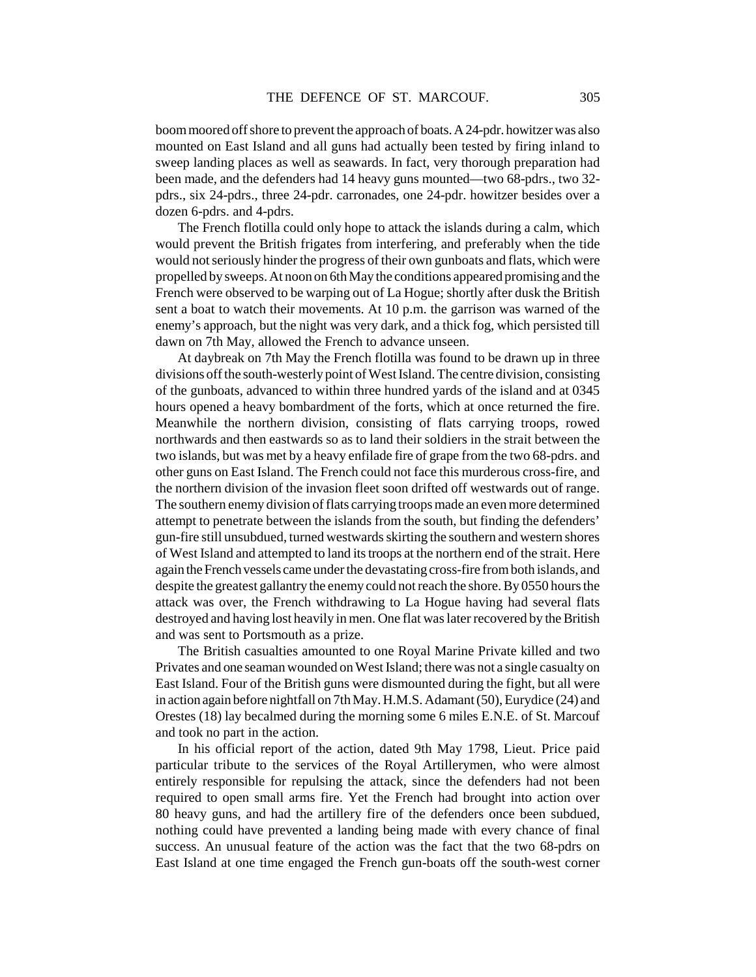boom moored off shore to prevent the approach of boats. A 24-pdr. howitzer was also mounted on East Island and all guns had actually been tested by firing inland to sweep landing places as well as seawards. In fact, very thorough preparation had been made, and the defenders had 14 heavy guns mounted—two 68-pdrs., two 32 pdrs., six 24-pdrs., three 24-pdr. carronades, one 24-pdr. howitzer besides over a dozen 6-pdrs. and 4-pdrs.

The French flotilla could only hope to attack the islands during a calm, which would prevent the British frigates from interfering, and preferably when the tide would not seriously hinder the progress of their own gunboats and flats, which were propelled by sweeps. At noon on 6th May the conditions appeared promising and the French were observed to be warping out of La Hogue; shortly after dusk the British sent a boat to watch their movements. At 10 p.m. the garrison was warned of the enemy's approach, but the night was very dark, and a thick fog, which persisted till dawn on 7th May, allowed the French to advance unseen.

At daybreak on 7th May the French flotilla was found to be drawn up in three divisions off the south-westerly point of West Island. The centre division, consisting of the gunboats, advanced to within three hundred yards of the island and at 0345 hours opened a heavy bombardment of the forts, which at once returned the fire. Meanwhile the northern division, consisting of flats carrying troops, rowed northwards and then eastwards so as to land their soldiers in the strait between the two islands, but was met by a heavy enfilade fire of grape from the two 68-pdrs. and other guns on East Island. The French could not face this murderous cross-fire, and the northern division of the invasion fleet soon drifted off westwards out of range. The southern enemy division of flats carrying troops made an even more determined attempt to penetrate between the islands from the south, but finding the defenders' gun-fire still unsubdued, turned westwards skirting the southern and western shores of West Island and attempted to land its troops at the northern end of the strait. Here again the French vessels came under the devastating cross-fire from both islands, and despite the greatest gallantry the enemy could not reach the shore. By 0550 hours the attack was over, the French withdrawing to La Hogue having had several flats destroyed and having lost heavily in men. One flat was later recovered by the British and was sent to Portsmouth as a prize.

The British casualties amounted to one Royal Marine Private killed and two Privates and one seaman wounded on West Island; there was not a single casualty on East Island. Four of the British guns were dismounted during the fight, but all were in action again before nightfall on 7th May. H.M.S. Adamant (50), Eurydice (24) and Orestes (18) lay becalmed during the morning some 6 miles E.N.E. of St. Marcouf and took no part in the action.

In his official report of the action, dated 9th May 1798, Lieut. Price paid particular tribute to the services of the Royal Artillerymen, who were almost entirely responsible for repulsing the attack, since the defenders had not been required to open small arms fire. Yet the French had brought into action over 80 heavy guns, and had the artillery fire of the defenders once been subdued, nothing could have prevented a landing being made with every chance of final success. An unusual feature of the action was the fact that the two 68-pdrs on East Island at one time engaged the French gun-boats off the south-west corner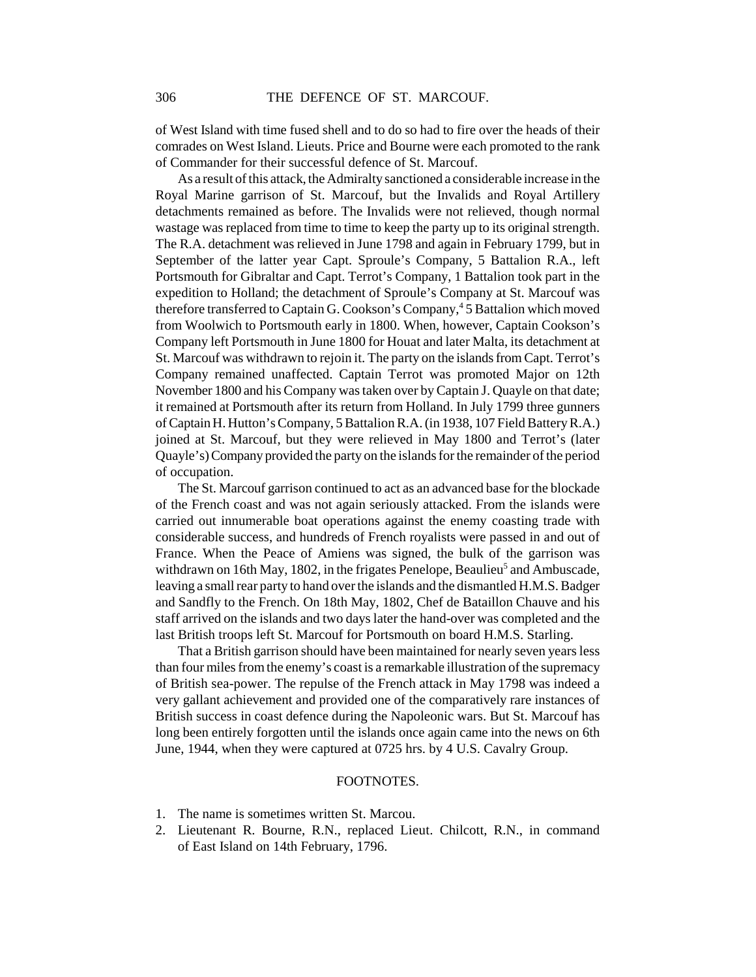of West Island with time fused shell and to do so had to fire over the heads of their comrades on West Island. Lieuts. Price and Bourne were each promoted to the rank of Commander for their successful defence of St. Marcouf.

As a result of this attack, the Admiralty sanctioned a considerable increase in the Royal Marine garrison of St. Marcouf, but the Invalids and Royal Artillery detachments remained as before. The Invalids were not relieved, though normal wastage was replaced from time to time to keep the party up to its original strength. The R.A. detachment was relieved in June 1798 and again in February 1799, but in September of the latter year Capt. Sproule's Company, 5 Battalion R.A., left Portsmouth for Gibraltar and Capt. Terrot's Company, 1 Battalion took part in the expedition to Holland; the detachment of Sproule's Company at St. Marcouf was therefore transferred to Captain G. Cookson's Company,<sup>4</sup> 5 Battalion which moved from Woolwich to Portsmouth early in 1800. When, however, Captain Cookson's Company left Portsmouth in June 1800 for Houat and later Malta, its detachment at St. Marcouf was withdrawn to rejoin it. The party on the islands from Capt. Terrot's Company remained unaffected. Captain Terrot was promoted Major on 12th November 1800 and his Company was taken over by Captain J. Quayle on that date; it remained at Portsmouth after its return from Holland. In July 1799 three gunners of Captain H. Hutton's Company, 5 Battalion R.A. (in 1938, 107 Field Battery R.A.) joined at St. Marcouf, but they were relieved in May 1800 and Terrot's (later Quayle's) Company provided the party on the islands for the remainder of the period of occupation.

The St. Marcouf garrison continued to act as an advanced base for the blockade of the French coast and was not again seriously attacked. From the islands were carried out innumerable boat operations against the enemy coasting trade with considerable success, and hundreds of French royalists were passed in and out of France. When the Peace of Amiens was signed, the bulk of the garrison was withdrawn on 16th May, 1802, in the frigates Penelope, Beaulieu<sup>5</sup> and Ambuscade, leaving a small rear party to hand over the islands and the dismantled H.M.S. Badger and Sandfly to the French. On 18th May, 1802, Chef de Bataillon Chauve and his staff arrived on the islands and two days later the hand-over was completed and the last British troops left St. Marcouf for Portsmouth on board H.M.S. Starling.

That a British garrison should have been maintained for nearly seven years less than four miles from the enemy's coast is a remarkable illustration of the supremacy of British sea-power. The repulse of the French attack in May 1798 was indeed a very gallant achievement and provided one of the comparatively rare instances of British success in coast defence during the Napoleonic wars. But St. Marcouf has long been entirely forgotten until the islands once again came into the news on 6th June, 1944, when they were captured at 0725 hrs. by 4 U.S. Cavalry Group.

## FOOTNOTES.

- 1. The name is sometimes written St. Marcou.
- 2. Lieutenant R. Bourne, R.N., replaced Lieut. Chilcott, R.N., in command of East Island on 14th February, 1796.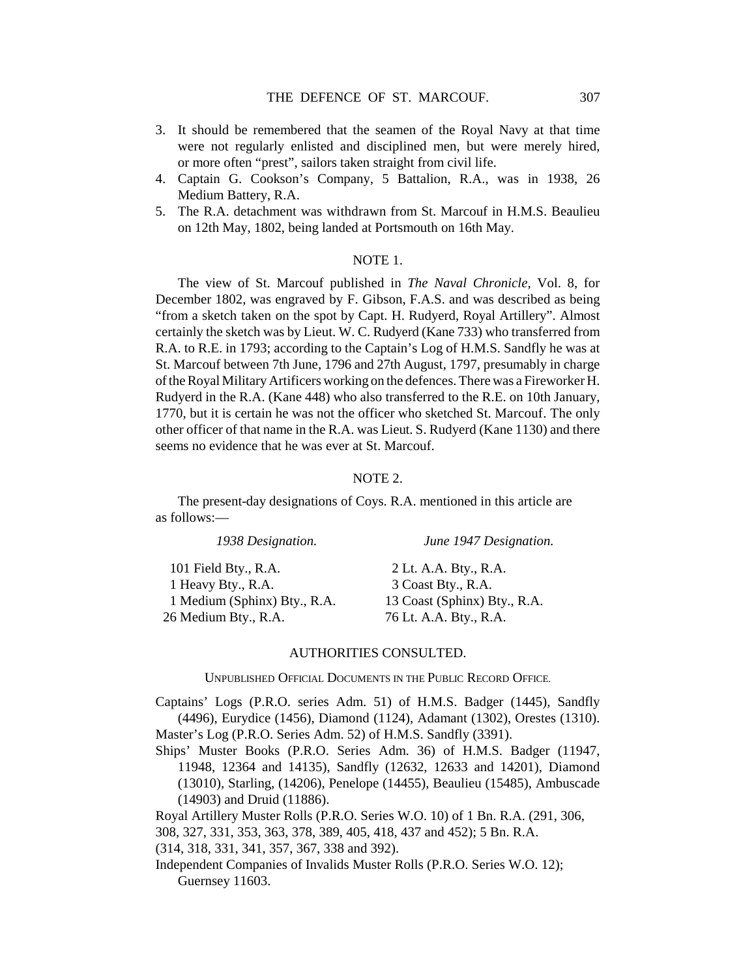- 3. It should be remembered that the seamen of the Royal Navy at that time were not regularly enlisted and disciplined men, but were merely hired, or more often "prest", sailors taken straight from civil life.
- 4. Captain G. Cookson's Company, 5 Battalion, R.A., was in 1938, 26 Medium Battery, R.A.
- 5. The R.A. detachment was withdrawn from St. Marcouf in H.M.S. Beaulieu on 12th May, 1802, being landed at Portsmouth on 16th May.

### NOTE 1.

The view of St. Marcouf published in *The Naval Chronicle,* Vol. 8, for December 1802, was engraved by F. Gibson, F.A.S. and was described as being "from a sketch taken on the spot by Capt. H. Rudyerd, Royal Artillery". Almost certainly the sketch was by Lieut. W. C. Rudyerd (Kane 733) who transferred from R.A. to R.E. in 1793; according to the Captain's Log of H.M.S. Sandfly he was at St. Marcouf between 7th June, 1796 and 27th August, 1797, presumably in charge of the Royal Military Artificers working on the defences. There was a Fireworker H. Rudyerd in the R.A. (Kane 448) who also transferred to the R.E. on 10th January, 1770, but it is certain he was not the officer who sketched St. Marcouf. The only other officer of that name in the R.A. was Lieut. S. Rudyerd (Kane 1130) and there seems no evidence that he was ever at St. Marcouf.

## NOTE 2.

The present-day designations of Coys. R.A. mentioned in this article are as follows:—

| 1938 Designation.            | June 1947 Designation.       |
|------------------------------|------------------------------|
| 101 Field Bty., R.A.         | 2 Lt. A.A. Bty., R.A.        |
| 1 Heavy Bty., R.A.           | 3 Coast Bty., R.A.           |
| 1 Medium (Sphinx) Bty., R.A. | 13 Coast (Sphinx) Bty., R.A. |
| 26 Medium Bty., R.A.         | 76 Lt. A.A. Bty., R.A.       |

#### AUTHORITIES CONSULTED.

UNPUBLISHED OFFICIAL DOCUMENTS IN THE PUBLIC RECORD OFFICE.

Captains' Logs (P.R.O. series Adm. 51) of H.M.S. Badger (1445), Sandfly (4496), Eurydice (1456), Diamond (1124), Adamant (1302), Orestes (1310). Master's Log (P.R.O. Series Adm. 52) of H.M.S. Sandfly (3391).

Ships' Muster Books (P.R.O. Series Adm. 36) of H.M.S. Badger (11947, 11948, 12364 and 14135), Sandfly (12632, 12633 and 14201), Diamond (13010), Starling, (14206), Penelope (14455), Beaulieu (15485), Ambuscade (14903) and Druid (11886).

Royal Artillery Muster Rolls (P.R.O. Series W.O. 10) of 1 Bn. R.A. (291, 306,

308, 327, 331, 353, 363, 378, 389, 405, 418, 437 and 452); 5 Bn. R.A.

(314, 318, 331, 341, 357, 367, 338 and 392).

Independent Companies of Invalids Muster Rolls (P.R.O. Series W.O. 12); Guernsey 11603.